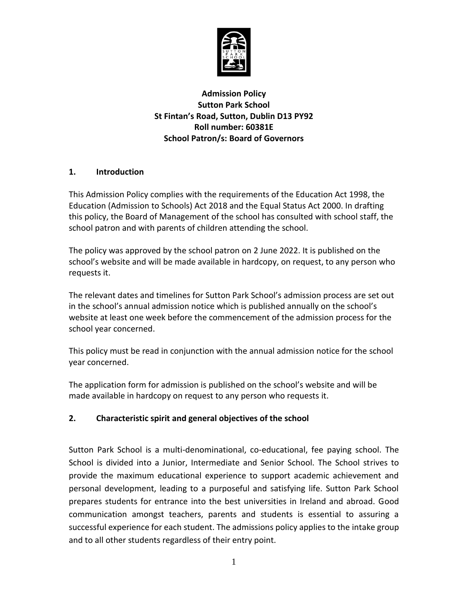

**Admission Policy Sutton Park School St Fintan's Road, Sutton, Dublin D13 PY92 Roll number: 60381E School Patron/s: Board of Governors**

## **1. Introduction**

This Admission Policy complies with the requirements of the Education Act 1998, the Education (Admission to Schools) Act 2018 and the Equal Status Act 2000. In drafting this policy, the Board of Management of the school has consulted with school staff, the school patron and with parents of children attending the school.

The policy was approved by the school patron on 2 June 2022. It is published on the school's website and will be made available in hardcopy, on request, to any person who requests it.

The relevant dates and timelines for Sutton Park School's admission process are set out in the school's annual admission notice which is published annually on the school's website at least one week before the commencement of the admission process for the school year concerned.

This policy must be read in conjunction with the annual admission notice for the school year concerned.

The application form for admission is published on the school's website and will be made available in hardcopy on request to any person who requests it.

# **2. Characteristic spirit and general objectives of the school**

Sutton Park School is a multi-denominational, co-educational, fee paying school. The School is divided into a Junior, Intermediate and Senior School. The School strives to provide the maximum educational experience to support academic achievement and personal development, leading to a purposeful and satisfying life. Sutton Park School prepares students for entrance into the best universities in Ireland and abroad. Good communication amongst teachers, parents and students is essential to assuring a successful experience for each student. The admissions policy applies to the intake group and to all other students regardless of their entry point.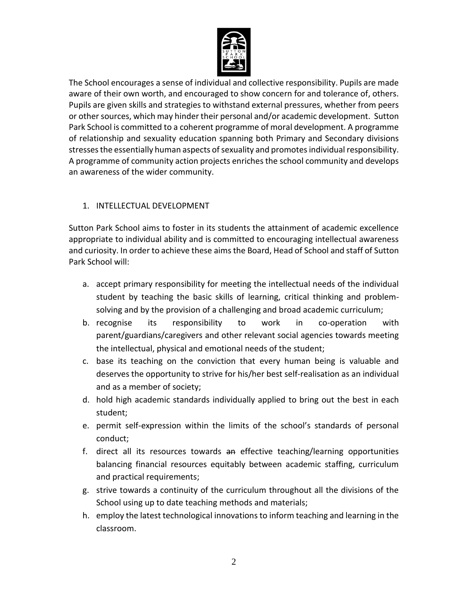

The School encourages a sense of individual and collective responsibility. Pupils are made aware of their own worth, and encouraged to show concern for and tolerance of, others. Pupils are given skills and strategies to withstand external pressures, whether from peers or other sources, which may hinder their personal and/or academic development. Sutton Park School is committed to a coherent programme of moral development. A programme of relationship and sexuality education spanning both Primary and Secondary divisions stresses the essentially human aspects of sexuality and promotes individual responsibility. A programme of community action projects enriches the school community and develops an awareness of the wider community.

# 1. INTELLECTUAL DEVELOPMENT

Sutton Park School aims to foster in its students the attainment of academic excellence appropriate to individual ability and is committed to encouraging intellectual awareness and curiosity. In order to achieve these aims the Board, Head of School and staff of Sutton Park School will:

- a. accept primary responsibility for meeting the intellectual needs of the individual student by teaching the basic skills of learning, critical thinking and problemsolving and by the provision of a challenging and broad academic curriculum;
- b. recognise its responsibility to work in co-operation with parent/guardians/caregivers and other relevant social agencies towards meeting the intellectual, physical and emotional needs of the student;
- c. base its teaching on the conviction that every human being is valuable and deserves the opportunity to strive for his/her best self-realisation as an individual and as a member of society;
- d. hold high academic standards individually applied to bring out the best in each student;
- e. permit self-expression within the limits of the school's standards of personal conduct;
- f. direct all its resources towards an effective teaching/learning opportunities balancing financial resources equitably between academic staffing, curriculum and practical requirements;
- g. strive towards a continuity of the curriculum throughout all the divisions of the School using up to date teaching methods and materials;
- h. employ the latest technological innovations to inform teaching and learning in the classroom.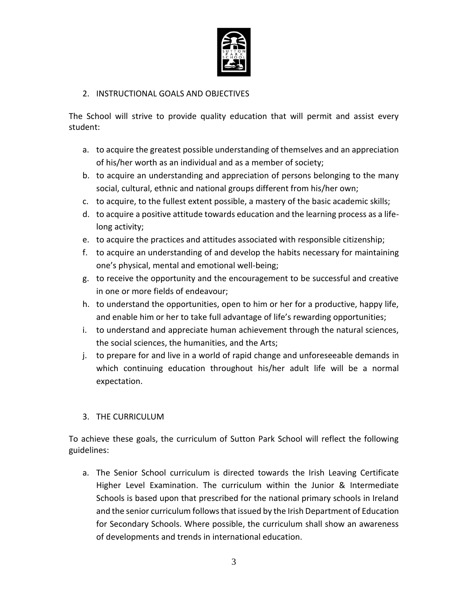

#### 2. INSTRUCTIONAL GOALS AND OBJECTIVES

The School will strive to provide quality education that will permit and assist every student:

- a. to acquire the greatest possible understanding of themselves and an appreciation of his/her worth as an individual and as a member of society;
- b. to acquire an understanding and appreciation of persons belonging to the many social, cultural, ethnic and national groups different from his/her own;
- c. to acquire, to the fullest extent possible, a mastery of the basic academic skills;
- d. to acquire a positive attitude towards education and the learning process as a lifelong activity;
- e. to acquire the practices and attitudes associated with responsible citizenship;
- f. to acquire an understanding of and develop the habits necessary for maintaining one's physical, mental and emotional well-being;
- g. to receive the opportunity and the encouragement to be successful and creative in one or more fields of endeavour;
- h. to understand the opportunities, open to him or her for a productive, happy life, and enable him or her to take full advantage of life's rewarding opportunities;
- i. to understand and appreciate human achievement through the natural sciences, the social sciences, the humanities, and the Arts;
- j. to prepare for and live in a world of rapid change and unforeseeable demands in which continuing education throughout his/her adult life will be a normal expectation.

#### 3. THE CURRICULUM

To achieve these goals, the curriculum of Sutton Park School will reflect the following guidelines:

a. The Senior School curriculum is directed towards the Irish Leaving Certificate Higher Level Examination. The curriculum within the Junior & Intermediate Schools is based upon that prescribed for the national primary schools in Ireland and the senior curriculum follows that issued by the Irish Department of Education for Secondary Schools. Where possible, the curriculum shall show an awareness of developments and trends in international education.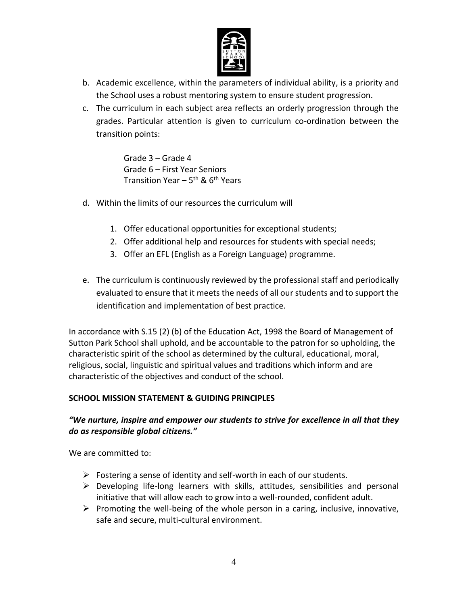

- b. Academic excellence, within the parameters of individual ability, is a priority and the School uses a robust mentoring system to ensure student progression.
- c. The curriculum in each subject area reflects an orderly progression through the grades. Particular attention is given to curriculum co-ordination between the transition points:

Grade 3 – Grade 4 Grade 6 – First Year Seniors Transition Year – 5<sup>th</sup> & 6<sup>th</sup> Years

- d. Within the limits of our resources the curriculum will
	- 1. Offer educational opportunities for exceptional students;
	- 2. Offer additional help and resources for students with special needs;
	- 3. Offer an EFL (English as a Foreign Language) programme.
- e. The curriculum is continuously reviewed by the professional staff and periodically evaluated to ensure that it meets the needs of all our students and to support the identification and implementation of best practice.

In accordance with S.15 (2) (b) of the Education Act, 1998 the Board of Management of Sutton Park School shall uphold, and be accountable to the patron for so upholding, the characteristic spirit of the school as determined by the cultural, educational, moral, religious, social, linguistic and spiritual values and traditions which inform and are characteristic of the objectives and conduct of the school.

#### **SCHOOL MISSION STATEMENT & GUIDING PRINCIPLES**

## *"We nurture, inspire and empower our students to strive for excellence in all that they do as responsible global citizens."*

We are committed to:

- $\triangleright$  Fostering a sense of identity and self-worth in each of our students.
- $\triangleright$  Developing life-long learners with skills, attitudes, sensibilities and personal initiative that will allow each to grow into a well-rounded, confident adult.
- $\triangleright$  Promoting the well-being of the whole person in a caring, inclusive, innovative, safe and secure, multi-cultural environment.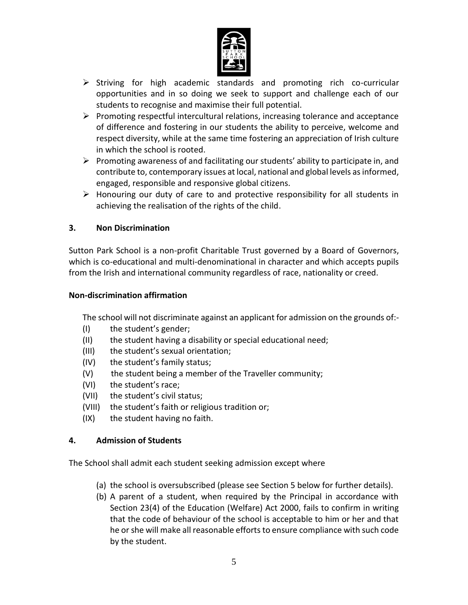

- $\triangleright$  Striving for high academic standards and promoting rich co-curricular opportunities and in so doing we seek to support and challenge each of our students to recognise and maximise their full potential.
- $\triangleright$  Promoting respectful intercultural relations, increasing tolerance and acceptance of difference and fostering in our students the ability to perceive, welcome and respect diversity, while at the same time fostering an appreciation of Irish culture in which the school is rooted.
- $\triangleright$  Promoting awareness of and facilitating our students' ability to participate in, and contribute to, contemporary issues at local, national and global levels as informed, engaged, responsible and responsive global citizens.
- $\triangleright$  Honouring our duty of care to and protective responsibility for all students in achieving the realisation of the rights of the child.

## **3. Non Discrimination**

Sutton Park School is a non-profit Charitable Trust governed by a Board of Governors, which is co-educational and multi-denominational in character and which accepts pupils from the Irish and international community regardless of race, nationality or creed.

#### **Non-discrimination affirmation**

The school will not discriminate against an applicant for admission on the grounds of:-

- (I) the student's gender;
- (II) the student having a disability or special educational need;
- (III) the student's sexual orientation;
- (IV) the student's family status;
- (V) the student being a member of the Traveller community;
- (VI) the student's race;
- (VII) the student's civil status;
- (VIII) the student's faith or religious tradition or;
- (IX) the student having no faith.

#### **4. Admission of Students**

The School shall admit each student seeking admission except where

- (a) the school is oversubscribed (please see Section 5 below for further details).
- (b) A parent of a student, when required by the Principal in accordance with Section 23(4) of the Education (Welfare) Act 2000, fails to confirm in writing that the code of behaviour of the school is acceptable to him or her and that he or she will make all reasonable efforts to ensure compliance with such code by the student.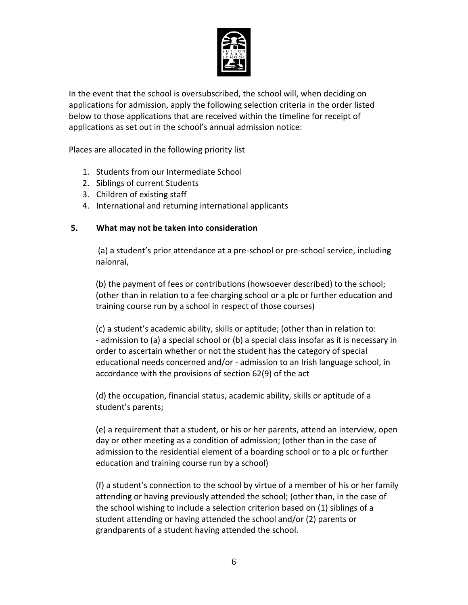

In the event that the school is oversubscribed, the school will, when deciding on applications for admission, apply the following selection criteria in the order listed below to those applications that are received within the timeline for receipt of applications as set out in the school's annual admission notice:

Places are allocated in the following priority list

- 1. Students from our Intermediate School
- 2. Siblings of current Students
- 3. Children of existing staff
- 4. International and returning international applicants

#### **5. What may not be taken into consideration**

(a) a student's prior attendance at a pre-school or pre-school service, including naíonraí,

(b) the payment of fees or contributions (howsoever described) to the school; (other than in relation to a fee charging school or a plc or further education and training course run by a school in respect of those courses)

(c) a student's academic ability, skills or aptitude; (other than in relation to: - admission to (a) a special school or (b) a special class insofar as it is necessary in order to ascertain whether or not the student has the category of special educational needs concerned and/or - admission to an Irish language school, in accordance with the provisions of section 62(9) of the act

(d) the occupation, financial status, academic ability, skills or aptitude of a student's parents;

(e) a requirement that a student, or his or her parents, attend an interview, open day or other meeting as a condition of admission; (other than in the case of admission to the residential element of a boarding school or to a plc or further education and training course run by a school)

(f) a student's connection to the school by virtue of a member of his or her family attending or having previously attended the school; (other than, in the case of the school wishing to include a selection criterion based on (1) siblings of a student attending or having attended the school and/or (2) parents or grandparents of a student having attended the school.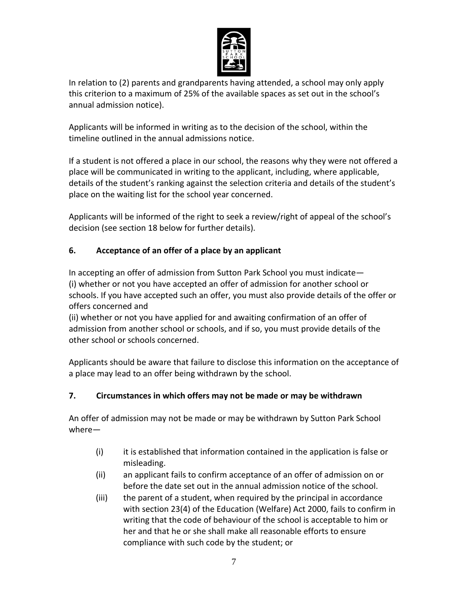

In relation to (2) parents and grandparents having attended, a school may only apply this criterion to a maximum of 25% of the available spaces as set out in the school's annual admission notice).

Applicants will be informed in writing as to the decision of the school, within the timeline outlined in the annual admissions notice.

If a student is not offered a place in our school, the reasons why they were not offered a place will be communicated in writing to the applicant, including, where applicable, details of the student's ranking against the selection criteria and details of the student's place on the waiting list for the school year concerned.

Applicants will be informed of the right to seek a review/right of appeal of the school's decision (see section 18 below for further details).

# **6. Acceptance of an offer of a place by an applicant**

In accepting an offer of admission from Sutton Park School you must indicate— (i) whether or not you have accepted an offer of admission for another school or schools. If you have accepted such an offer, you must also provide details of the offer or offers concerned and

(ii) whether or not you have applied for and awaiting confirmation of an offer of admission from another school or schools, and if so, you must provide details of the other school or schools concerned.

Applicants should be aware that failure to disclose this information on the acceptance of a place may lead to an offer being withdrawn by the school.

# **7. Circumstances in which offers may not be made or may be withdrawn**

An offer of admission may not be made or may be withdrawn by Sutton Park School where—

- (i) it is established that information contained in the application is false or misleading.
- (ii) an applicant fails to confirm acceptance of an offer of admission on or before the date set out in the annual admission notice of the school.
- (iii) the parent of a student, when required by the principal in accordance with section 23(4) of the Education (Welfare) Act 2000, fails to confirm in writing that the code of behaviour of the school is acceptable to him or her and that he or she shall make all reasonable efforts to ensure compliance with such code by the student; or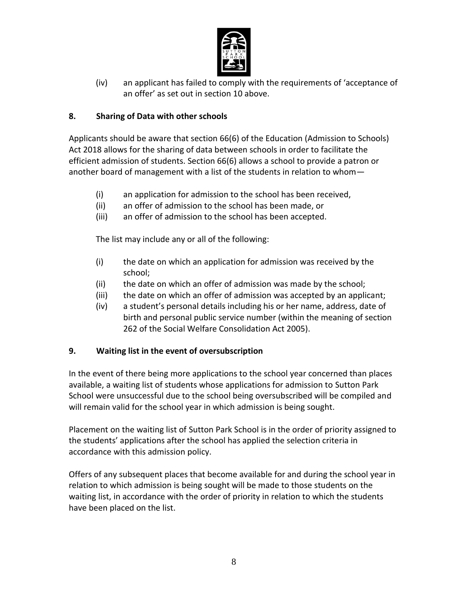

(iv) an applicant has failed to comply with the requirements of 'acceptance of an offer' as set out in section 10 above.

## **8. Sharing of Data with other schools**

Applicants should be aware that section 66(6) of the Education (Admission to Schools) Act 2018 allows for the sharing of data between schools in order to facilitate the efficient admission of students. Section 66(6) allows a school to provide a patron or another board of management with a list of the students in relation to whom—

- (i) an application for admission to the school has been received,
- (ii) an offer of admission to the school has been made, or
- (iii) an offer of admission to the school has been accepted.

The list may include any or all of the following:

- (i) the date on which an application for admission was received by the school;
- (ii) the date on which an offer of admission was made by the school;
- (iii) the date on which an offer of admission was accepted by an applicant;
- (iv) a student's personal details including his or her name, address, date of birth and personal public service number (within the meaning of section 262 of the Social Welfare Consolidation Act 2005).

#### **9. Waiting list in the event of oversubscription**

In the event of there being more applications to the school year concerned than places available, a waiting list of students whose applications for admission to Sutton Park School were unsuccessful due to the school being oversubscribed will be compiled and will remain valid for the school year in which admission is being sought.

Placement on the waiting list of Sutton Park School is in the order of priority assigned to the students' applications after the school has applied the selection criteria in accordance with this admission policy.

Offers of any subsequent places that become available for and during the school year in relation to which admission is being sought will be made to those students on the waiting list, in accordance with the order of priority in relation to which the students have been placed on the list.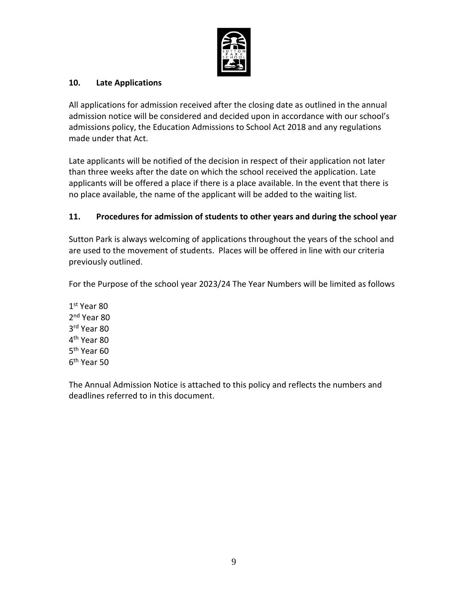

#### **10. Late Applications**

All applications for admission received after the closing date as outlined in the annual admission notice will be considered and decided upon in accordance with our school's admissions policy, the Education Admissions to School Act 2018 and any regulations made under that Act.

Late applicants will be notified of the decision in respect of their application not later than three weeks after the date on which the school received the application. Late applicants will be offered a place if there is a place available. In the event that there is no place available, the name of the applicant will be added to the waiting list.

## **11. Procedures for admission of students to other years and during the school year**

Sutton Park is always welcoming of applications throughout the years of the school and are used to the movement of students. Places will be offered in line with our criteria previously outlined.

For the Purpose of the school year 2023/24 The Year Numbers will be limited as follows

1 st Year 80 2<sup>nd</sup> Year 80 3 rd Year 80 4<sup>th</sup> Year 80 5<sup>th</sup> Year 60 6<sup>th</sup> Year 50

The Annual Admission Notice is attached to this policy and reflects the numbers and deadlines referred to in this document.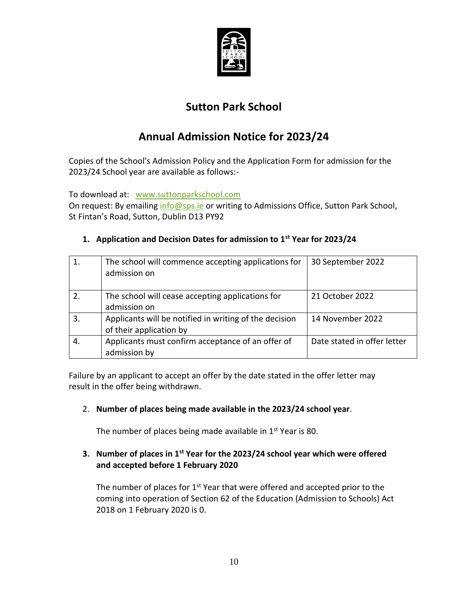

# **Sutton Park School**

# **Annual Admission Notice for 2023/24**

Copies of the School's Admission Policy and the Application Form for admission for the 2023/24 School year are available as follows:-

To download at: [www.suttonparkschool.com](http://www.suttonparkschool.com/)

On request: By emailing [info@sps.ie](mailto:info@sps.ie) or writing to Admissions Office, Sutton Park School, St Fintan's Road, Sutton, Dublin D13 PY92

|    | The school will commence accepting applications for<br>admission on               | 30 September 2022           |
|----|-----------------------------------------------------------------------------------|-----------------------------|
|    | The school will cease accepting applications for<br>admission on                  | 21 October 2022             |
| 3. | Applicants will be notified in writing of the decision<br>of their application by | 14 November 2022            |
| 4. | Applicants must confirm acceptance of an offer of<br>admission by                 | Date stated in offer letter |

# **1. Application and Decision Dates for admission to 1st Year for 2023/24**

Failure by an applicant to accept an offer by the date stated in the offer letter may result in the offer being withdrawn.

# 2. **Number of places being made available in the 2023/24 school year**.

The number of places being made available in  $1<sup>st</sup>$  Year is 80.

# **3. Number of places in 1st Year for the 2023/24 school year which were offered and accepted before 1 February 2020**

The number of places for  $1<sup>st</sup>$  Year that were offered and accepted prior to the coming into operation of Section 62 of the Education (Admission to Schools) Act 2018 on 1 February 2020 is 0.